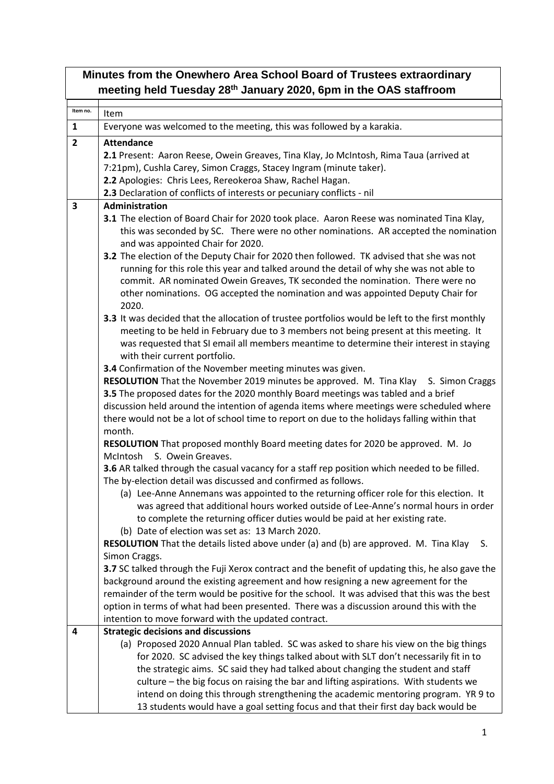| Minutes from the Onewhero Area School Board of Trustees extraordinary<br>meeting held Tuesday 28 <sup>th</sup> January 2020, 6pm in the OAS staffroom |                                                                                                                                                                                                                        |  |
|-------------------------------------------------------------------------------------------------------------------------------------------------------|------------------------------------------------------------------------------------------------------------------------------------------------------------------------------------------------------------------------|--|
| Item no.                                                                                                                                              | Item                                                                                                                                                                                                                   |  |
| $\mathbf{1}$                                                                                                                                          | Everyone was welcomed to the meeting, this was followed by a karakia.                                                                                                                                                  |  |
| $\overline{2}$                                                                                                                                        | <b>Attendance</b>                                                                                                                                                                                                      |  |
|                                                                                                                                                       | 2.1 Present: Aaron Reese, Owein Greaves, Tina Klay, Jo McIntosh, Rima Taua (arrived at                                                                                                                                 |  |
|                                                                                                                                                       | 7:21pm), Cushla Carey, Simon Craggs, Stacey Ingram (minute taker).                                                                                                                                                     |  |
|                                                                                                                                                       | 2.2 Apologies: Chris Lees, Rereokeroa Shaw, Rachel Hagan.                                                                                                                                                              |  |
|                                                                                                                                                       | 2.3 Declaration of conflicts of interests or pecuniary conflicts - nil                                                                                                                                                 |  |
| $\overline{\mathbf{3}}$                                                                                                                               | Administration                                                                                                                                                                                                         |  |
|                                                                                                                                                       | 3.1 The election of Board Chair for 2020 took place. Aaron Reese was nominated Tina Klay,<br>this was seconded by SC. There were no other nominations. AR accepted the nomination<br>and was appointed Chair for 2020. |  |
|                                                                                                                                                       | 3.2 The election of the Deputy Chair for 2020 then followed. TK advised that she was not                                                                                                                               |  |
|                                                                                                                                                       | running for this role this year and talked around the detail of why she was not able to                                                                                                                                |  |
|                                                                                                                                                       | commit. AR nominated Owein Greaves, TK seconded the nomination. There were no                                                                                                                                          |  |
|                                                                                                                                                       | other nominations. OG accepted the nomination and was appointed Deputy Chair for<br>2020.                                                                                                                              |  |
|                                                                                                                                                       | 3.3 It was decided that the allocation of trustee portfolios would be left to the first monthly                                                                                                                        |  |
|                                                                                                                                                       | meeting to be held in February due to 3 members not being present at this meeting. It                                                                                                                                  |  |
|                                                                                                                                                       | was requested that SI email all members meantime to determine their interest in staying<br>with their current portfolio.                                                                                               |  |
|                                                                                                                                                       | 3.4 Confirmation of the November meeting minutes was given.                                                                                                                                                            |  |
|                                                                                                                                                       | RESOLUTION That the November 2019 minutes be approved. M. Tina Klay S. Simon Craggs                                                                                                                                    |  |
|                                                                                                                                                       | 3.5 The proposed dates for the 2020 monthly Board meetings was tabled and a brief                                                                                                                                      |  |
|                                                                                                                                                       | discussion held around the intention of agenda items where meetings were scheduled where<br>there would not be a lot of school time to report on due to the holidays falling within that                               |  |
|                                                                                                                                                       | month.<br>RESOLUTION That proposed monthly Board meeting dates for 2020 be approved. M. Jo<br>S. Owein Greaves.<br>McIntosh                                                                                            |  |
|                                                                                                                                                       | 3.6 AR talked through the casual vacancy for a staff rep position which needed to be filled.<br>The by-election detail was discussed and confirmed as follows.                                                         |  |
|                                                                                                                                                       | (a) Lee-Anne Annemans was appointed to the returning officer role for this election. It                                                                                                                                |  |
|                                                                                                                                                       | was agreed that additional hours worked outside of Lee-Anne's normal hours in order<br>to complete the returning officer duties would be paid at her existing rate.                                                    |  |
|                                                                                                                                                       | (b) Date of election was set as: 13 March 2020.                                                                                                                                                                        |  |
|                                                                                                                                                       | <b>RESOLUTION</b> That the details listed above under (a) and (b) are approved. M. Tina Klay<br>S.                                                                                                                     |  |
|                                                                                                                                                       | Simon Craggs.                                                                                                                                                                                                          |  |
|                                                                                                                                                       | 3.7 SC talked through the Fuji Xerox contract and the benefit of updating this, he also gave the                                                                                                                       |  |
|                                                                                                                                                       | background around the existing agreement and how resigning a new agreement for the                                                                                                                                     |  |
|                                                                                                                                                       | remainder of the term would be positive for the school. It was advised that this was the best                                                                                                                          |  |
|                                                                                                                                                       | option in terms of what had been presented. There was a discussion around this with the                                                                                                                                |  |
|                                                                                                                                                       | intention to move forward with the updated contract.                                                                                                                                                                   |  |
| 4                                                                                                                                                     | <b>Strategic decisions and discussions</b>                                                                                                                                                                             |  |
|                                                                                                                                                       | (a) Proposed 2020 Annual Plan tabled. SC was asked to share his view on the big things<br>for 2020. SC advised the key things talked about with SLT don't necessarily fit in to                                        |  |
|                                                                                                                                                       | the strategic aims. SC said they had talked about changing the student and staff                                                                                                                                       |  |
|                                                                                                                                                       | culture – the big focus on raising the bar and lifting aspirations. With students we                                                                                                                                   |  |
|                                                                                                                                                       | intend on doing this through strengthening the academic mentoring program. YR 9 to                                                                                                                                     |  |
|                                                                                                                                                       | 13 students would have a goal setting focus and that their first day back would be                                                                                                                                     |  |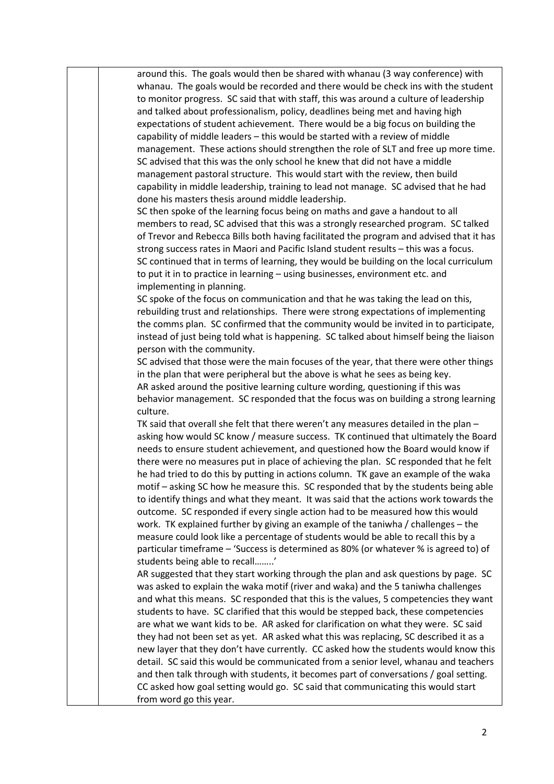around this. The goals would then be shared with whanau (3 way conference) with whanau. The goals would be recorded and there would be check ins with the student to monitor progress. SC said that with staff, this was around a culture of leadership and talked about professionalism, policy, deadlines being met and having high expectations of student achievement. There would be a big focus on building the capability of middle leaders – this would be started with a review of middle management. These actions should strengthen the role of SLT and free up more time. SC advised that this was the only school he knew that did not have a middle management pastoral structure. This would start with the review, then build capability in middle leadership, training to lead not manage. SC advised that he had done his masters thesis around middle leadership.

SC then spoke of the learning focus being on maths and gave a handout to all members to read, SC advised that this was a strongly researched program. SC talked of Trevor and Rebecca Bills both having facilitated the program and advised that it has strong success rates in Maori and Pacific Island student results – this was a focus. SC continued that in terms of learning, they would be building on the local curriculum to put it in to practice in learning – using businesses, environment etc. and implementing in planning.

SC spoke of the focus on communication and that he was taking the lead on this, rebuilding trust and relationships. There were strong expectations of implementing the comms plan. SC confirmed that the community would be invited in to participate, instead of just being told what is happening. SC talked about himself being the liaison person with the community.

SC advised that those were the main focuses of the year, that there were other things in the plan that were peripheral but the above is what he sees as being key. AR asked around the positive learning culture wording, questioning if this was behavior management. SC responded that the focus was on building a strong learning culture.

TK said that overall she felt that there weren't any measures detailed in the plan – asking how would SC know / measure success. TK continued that ultimately the Board needs to ensure student achievement, and questioned how the Board would know if there were no measures put in place of achieving the plan. SC responded that he felt he had tried to do this by putting in actions column. TK gave an example of the waka motif – asking SC how he measure this. SC responded that by the students being able to identify things and what they meant. It was said that the actions work towards the outcome. SC responded if every single action had to be measured how this would work. TK explained further by giving an example of the taniwha / challenges – the measure could look like a percentage of students would be able to recall this by a particular timeframe – 'Success is determined as 80% (or whatever % is agreed to) of students being able to recall……..'

AR suggested that they start working through the plan and ask questions by page. SC was asked to explain the waka motif (river and waka) and the 5 taniwha challenges and what this means. SC responded that this is the values, 5 competencies they want students to have. SC clarified that this would be stepped back, these competencies are what we want kids to be. AR asked for clarification on what they were. SC said they had not been set as yet. AR asked what this was replacing, SC described it as a new layer that they don't have currently. CC asked how the students would know this detail. SC said this would be communicated from a senior level, whanau and teachers and then talk through with students, it becomes part of conversations / goal setting. CC asked how goal setting would go. SC said that communicating this would start from word go this year.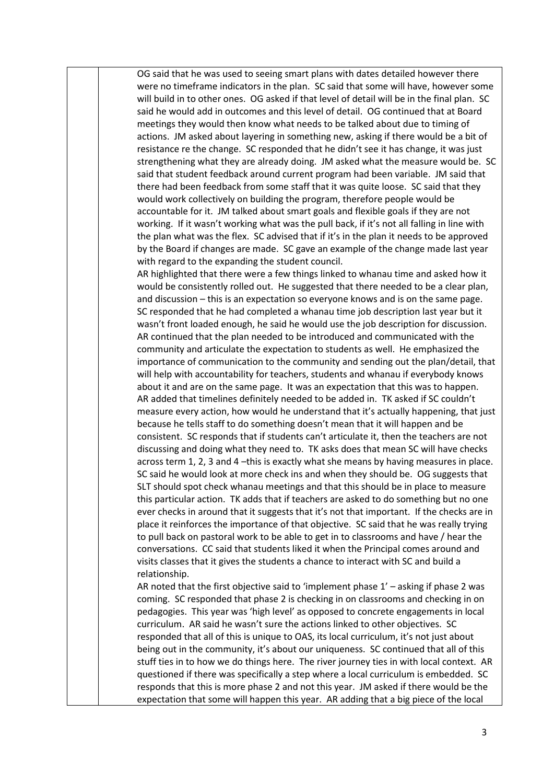OG said that he was used to seeing smart plans with dates detailed however there were no timeframe indicators in the plan. SC said that some will have, however some will build in to other ones. OG asked if that level of detail will be in the final plan. SC said he would add in outcomes and this level of detail. OG continued that at Board meetings they would then know what needs to be talked about due to timing of actions. JM asked about layering in something new, asking if there would be a bit of resistance re the change. SC responded that he didn't see it has change, it was just strengthening what they are already doing. JM asked what the measure would be. SC said that student feedback around current program had been variable. JM said that there had been feedback from some staff that it was quite loose. SC said that they would work collectively on building the program, therefore people would be accountable for it. JM talked about smart goals and flexible goals if they are not working. If it wasn't working what was the pull back, if it's not all falling in line with the plan what was the flex. SC advised that if it's in the plan it needs to be approved by the Board if changes are made. SC gave an example of the change made last year with regard to the expanding the student council.

AR highlighted that there were a few things linked to whanau time and asked how it would be consistently rolled out. He suggested that there needed to be a clear plan, and discussion – this is an expectation so everyone knows and is on the same page. SC responded that he had completed a whanau time job description last year but it wasn't front loaded enough, he said he would use the job description for discussion. AR continued that the plan needed to be introduced and communicated with the community and articulate the expectation to students as well. He emphasized the importance of communication to the community and sending out the plan/detail, that will help with accountability for teachers, students and whanau if everybody knows about it and are on the same page. It was an expectation that this was to happen. AR added that timelines definitely needed to be added in. TK asked if SC couldn't measure every action, how would he understand that it's actually happening, that just because he tells staff to do something doesn't mean that it will happen and be consistent. SC responds that if students can't articulate it, then the teachers are not discussing and doing what they need to. TK asks does that mean SC will have checks across term 1, 2, 3 and 4 –this is exactly what she means by having measures in place. SC said he would look at more check ins and when they should be. OG suggests that SLT should spot check whanau meetings and that this should be in place to measure this particular action. TK adds that if teachers are asked to do something but no one ever checks in around that it suggests that it's not that important. If the checks are in place it reinforces the importance of that objective. SC said that he was really trying to pull back on pastoral work to be able to get in to classrooms and have / hear the conversations. CC said that students liked it when the Principal comes around and visits classes that it gives the students a chance to interact with SC and build a relationship.

AR noted that the first objective said to 'implement phase 1' – asking if phase 2 was coming. SC responded that phase 2 is checking in on classrooms and checking in on pedagogies. This year was 'high level' as opposed to concrete engagements in local curriculum. AR said he wasn't sure the actions linked to other objectives. SC responded that all of this is unique to OAS, its local curriculum, it's not just about being out in the community, it's about our uniqueness. SC continued that all of this stuff ties in to how we do things here. The river journey ties in with local context. AR questioned if there was specifically a step where a local curriculum is embedded. SC responds that this is more phase 2 and not this year. JM asked if there would be the expectation that some will happen this year. AR adding that a big piece of the local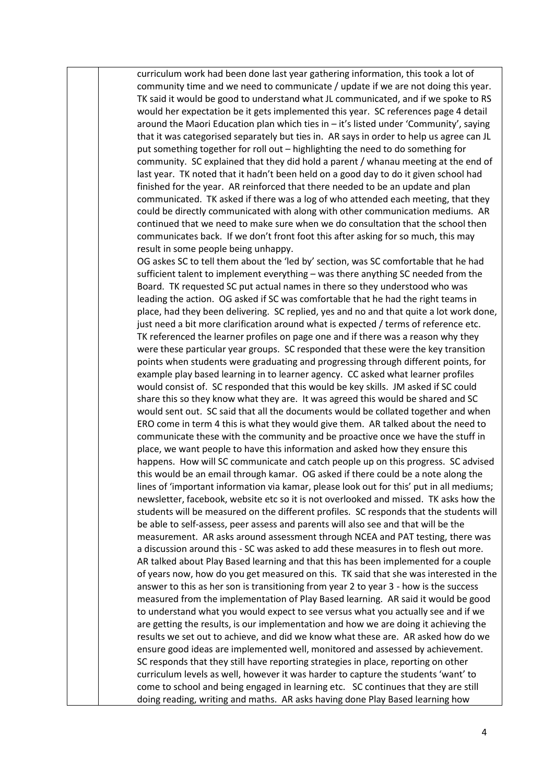curriculum work had been done last year gathering information, this took a lot of community time and we need to communicate / update if we are not doing this year. TK said it would be good to understand what JL communicated, and if we spoke to RS would her expectation be it gets implemented this year. SC references page 4 detail around the Maori Education plan which ties in  $-$  it's listed under 'Community', saying that it was categorised separately but ties in. AR says in order to help us agree can JL put something together for roll out – highlighting the need to do something for community. SC explained that they did hold a parent / whanau meeting at the end of last year. TK noted that it hadn't been held on a good day to do it given school had finished for the year. AR reinforced that there needed to be an update and plan communicated. TK asked if there was a log of who attended each meeting, that they could be directly communicated with along with other communication mediums. AR continued that we need to make sure when we do consultation that the school then communicates back. If we don't front foot this after asking for so much, this may result in some people being unhappy.

OG askes SC to tell them about the 'led by' section, was SC comfortable that he had sufficient talent to implement everything – was there anything SC needed from the Board. TK requested SC put actual names in there so they understood who was leading the action. OG asked if SC was comfortable that he had the right teams in place, had they been delivering. SC replied, yes and no and that quite a lot work done, just need a bit more clarification around what is expected / terms of reference etc. TK referenced the learner profiles on page one and if there was a reason why they were these particular year groups. SC responded that these were the key transition points when students were graduating and progressing through different points, for example play based learning in to learner agency. CC asked what learner profiles would consist of. SC responded that this would be key skills. JM asked if SC could share this so they know what they are. It was agreed this would be shared and SC would sent out. SC said that all the documents would be collated together and when ERO come in term 4 this is what they would give them. AR talked about the need to communicate these with the community and be proactive once we have the stuff in place, we want people to have this information and asked how they ensure this happens. How will SC communicate and catch people up on this progress. SC advised this would be an email through kamar. OG asked if there could be a note along the lines of 'important information via kamar, please look out for this' put in all mediums; newsletter, facebook, website etc so it is not overlooked and missed. TK asks how the students will be measured on the different profiles. SC responds that the students will be able to self-assess, peer assess and parents will also see and that will be the measurement. AR asks around assessment through NCEA and PAT testing, there was a discussion around this - SC was asked to add these measures in to flesh out more. AR talked about Play Based learning and that this has been implemented for a couple of years now, how do you get measured on this. TK said that she was interested in the answer to this as her son is transitioning from year 2 to year 3 - how is the success measured from the implementation of Play Based learning. AR said it would be good to understand what you would expect to see versus what you actually see and if we are getting the results, is our implementation and how we are doing it achieving the results we set out to achieve, and did we know what these are. AR asked how do we ensure good ideas are implemented well, monitored and assessed by achievement. SC responds that they still have reporting strategies in place, reporting on other curriculum levels as well, however it was harder to capture the students 'want' to come to school and being engaged in learning etc. SC continues that they are still doing reading, writing and maths. AR asks having done Play Based learning how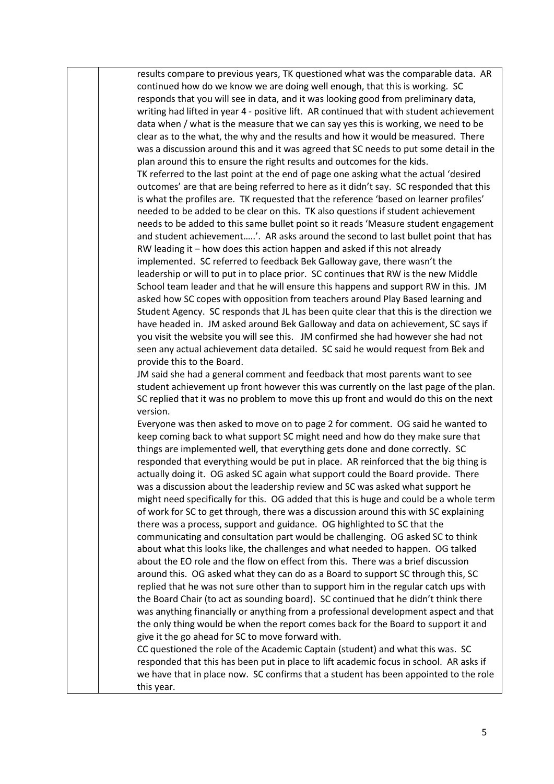results compare to previous years, TK questioned what was the comparable data. AR continued how do we know we are doing well enough, that this is working. SC responds that you will see in data, and it was looking good from preliminary data, writing had lifted in year 4 - positive lift. AR continued that with student achievement data when / what is the measure that we can say yes this is working, we need to be clear as to the what, the why and the results and how it would be measured. There was a discussion around this and it was agreed that SC needs to put some detail in the plan around this to ensure the right results and outcomes for the kids. TK referred to the last point at the end of page one asking what the actual 'desired outcomes' are that are being referred to here as it didn't say. SC responded that this is what the profiles are. TK requested that the reference 'based on learner profiles' needed to be added to be clear on this. TK also questions if student achievement needs to be added to this same bullet point so it reads 'Measure student engagement and student achievement…..'. AR asks around the second to last bullet point that has RW leading it – how does this action happen and asked if this not already implemented. SC referred to feedback Bek Galloway gave, there wasn't the leadership or will to put in to place prior. SC continues that RW is the new Middle School team leader and that he will ensure this happens and support RW in this. JM asked how SC copes with opposition from teachers around Play Based learning and Student Agency. SC responds that JL has been quite clear that this is the direction we have headed in. JM asked around Bek Galloway and data on achievement, SC says if you visit the website you will see this. JM confirmed she had however she had not seen any actual achievement data detailed. SC said he would request from Bek and provide this to the Board.

JM said she had a general comment and feedback that most parents want to see student achievement up front however this was currently on the last page of the plan. SC replied that it was no problem to move this up front and would do this on the next version.

Everyone was then asked to move on to page 2 for comment. OG said he wanted to keep coming back to what support SC might need and how do they make sure that things are implemented well, that everything gets done and done correctly. SC responded that everything would be put in place. AR reinforced that the big thing is actually doing it. OG asked SC again what support could the Board provide. There was a discussion about the leadership review and SC was asked what support he might need specifically for this. OG added that this is huge and could be a whole term of work for SC to get through, there was a discussion around this with SC explaining there was a process, support and guidance. OG highlighted to SC that the communicating and consultation part would be challenging. OG asked SC to think about what this looks like, the challenges and what needed to happen. OG talked about the EO role and the flow on effect from this. There was a brief discussion around this. OG asked what they can do as a Board to support SC through this, SC replied that he was not sure other than to support him in the regular catch ups with the Board Chair (to act as sounding board). SC continued that he didn't think there was anything financially or anything from a professional development aspect and that the only thing would be when the report comes back for the Board to support it and give it the go ahead for SC to move forward with.

CC questioned the role of the Academic Captain (student) and what this was. SC responded that this has been put in place to lift academic focus in school. AR asks if we have that in place now. SC confirms that a student has been appointed to the role this year.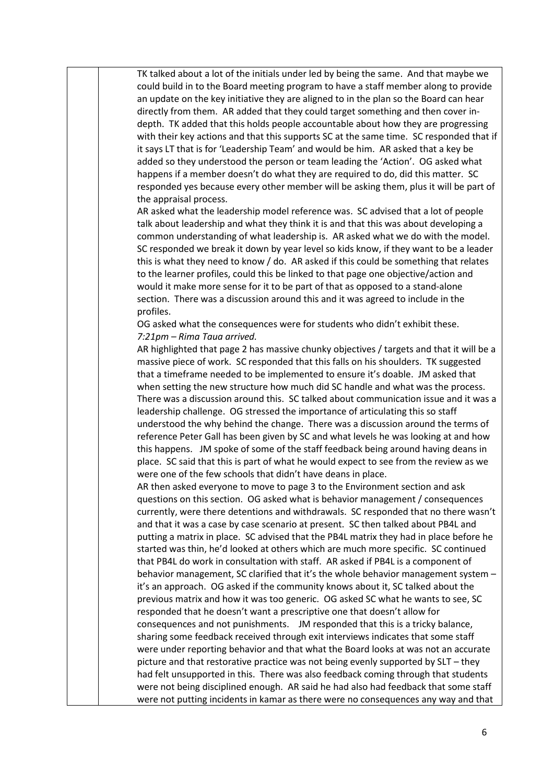TK talked about a lot of the initials under led by being the same. And that maybe we could build in to the Board meeting program to have a staff member along to provide an update on the key initiative they are aligned to in the plan so the Board can hear directly from them. AR added that they could target something and then cover indepth. TK added that this holds people accountable about how they are progressing with their key actions and that this supports SC at the same time. SC responded that if it says LT that is for 'Leadership Team' and would be him. AR asked that a key be added so they understood the person or team leading the 'Action'. OG asked what happens if a member doesn't do what they are required to do, did this matter. SC responded yes because every other member will be asking them, plus it will be part of the appraisal process.

AR asked what the leadership model reference was. SC advised that a lot of people talk about leadership and what they think it is and that this was about developing a common understanding of what leadership is. AR asked what we do with the model. SC responded we break it down by year level so kids know, if they want to be a leader this is what they need to know / do. AR asked if this could be something that relates to the learner profiles, could this be linked to that page one objective/action and would it make more sense for it to be part of that as opposed to a stand-alone section. There was a discussion around this and it was agreed to include in the profiles.

OG asked what the consequences were for students who didn't exhibit these. *7:21pm – Rima Taua arrived.*

AR highlighted that page 2 has massive chunky objectives / targets and that it will be a massive piece of work. SC responded that this falls on his shoulders. TK suggested that a timeframe needed to be implemented to ensure it's doable. JM asked that when setting the new structure how much did SC handle and what was the process. There was a discussion around this. SC talked about communication issue and it was a leadership challenge. OG stressed the importance of articulating this so staff understood the why behind the change. There was a discussion around the terms of reference Peter Gall has been given by SC and what levels he was looking at and how this happens. JM spoke of some of the staff feedback being around having deans in place. SC said that this is part of what he would expect to see from the review as we were one of the few schools that didn't have deans in place.

AR then asked everyone to move to page 3 to the Environment section and ask questions on this section. OG asked what is behavior management / consequences currently, were there detentions and withdrawals. SC responded that no there wasn't and that it was a case by case scenario at present. SC then talked about PB4L and putting a matrix in place. SC advised that the PB4L matrix they had in place before he started was thin, he'd looked at others which are much more specific. SC continued that PB4L do work in consultation with staff. AR asked if PB4L is a component of behavior management, SC clarified that it's the whole behavior management system – it's an approach. OG asked if the community knows about it, SC talked about the previous matrix and how it was too generic. OG asked SC what he wants to see, SC responded that he doesn't want a prescriptive one that doesn't allow for consequences and not punishments. JM responded that this is a tricky balance, sharing some feedback received through exit interviews indicates that some staff were under reporting behavior and that what the Board looks at was not an accurate picture and that restorative practice was not being evenly supported by SLT – they had felt unsupported in this. There was also feedback coming through that students were not being disciplined enough. AR said he had also had feedback that some staff were not putting incidents in kamar as there were no consequences any way and that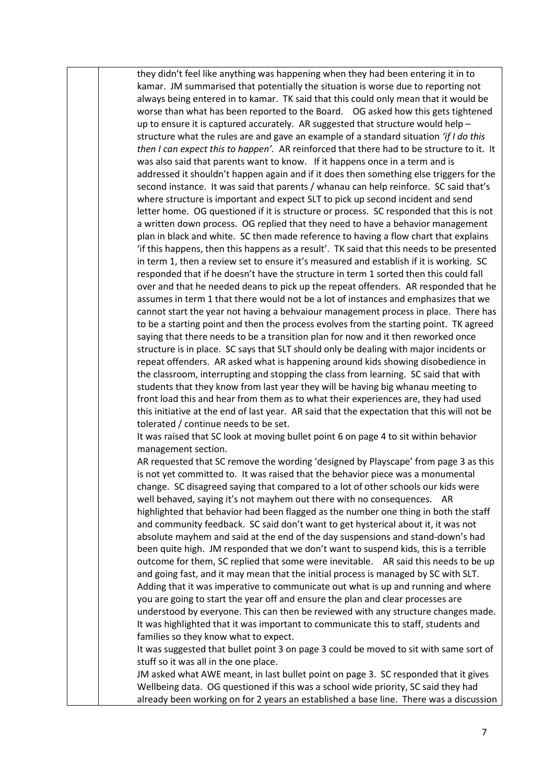they didn't feel like anything was happening when they had been entering it in to kamar. JM summarised that potentially the situation is worse due to reporting not always being entered in to kamar. TK said that this could only mean that it would be worse than what has been reported to the Board. OG asked how this gets tightened up to ensure it is captured accurately. AR suggested that structure would help – structure what the rules are and gave an example of a standard situation *'if I do this then I can expect this to happen'.* AR reinforced that there had to be structure to it. It was also said that parents want to know. If it happens once in a term and is addressed it shouldn't happen again and if it does then something else triggers for the second instance. It was said that parents / whanau can help reinforce. SC said that's where structure is important and expect SLT to pick up second incident and send letter home. OG questioned if it is structure or process. SC responded that this is not a written down process. OG replied that they need to have a behavior management plan in black and white. SC then made reference to having a flow chart that explains 'if this happens, then this happens as a result'. TK said that this needs to be presented in term 1, then a review set to ensure it's measured and establish if it is working. SC responded that if he doesn't have the structure in term 1 sorted then this could fall over and that he needed deans to pick up the repeat offenders. AR responded that he assumes in term 1 that there would not be a lot of instances and emphasizes that we cannot start the year not having a behvaiour management process in place. There has to be a starting point and then the process evolves from the starting point. TK agreed saying that there needs to be a transition plan for now and it then reworked once structure is in place. SC says that SLT should only be dealing with major incidents or repeat offenders. AR asked what is happening around kids showing disobedience in the classroom, interrupting and stopping the class from learning. SC said that with students that they know from last year they will be having big whanau meeting to front load this and hear from them as to what their experiences are, they had used this initiative at the end of last year. AR said that the expectation that this will not be tolerated / continue needs to be set.

It was raised that SC look at moving bullet point 6 on page 4 to sit within behavior management section.

AR requested that SC remove the wording 'designed by Playscape' from page 3 as this is not yet committed to. It was raised that the behavior piece was a monumental change. SC disagreed saying that compared to a lot of other schools our kids were well behaved, saying it's not mayhem out there with no consequences. AR highlighted that behavior had been flagged as the number one thing in both the staff and community feedback. SC said don't want to get hysterical about it, it was not absolute mayhem and said at the end of the day suspensions and stand-down's had been quite high. JM responded that we don't want to suspend kids, this is a terrible outcome for them, SC replied that some were inevitable. AR said this needs to be up and going fast, and it may mean that the initial process is managed by SC with SLT. Adding that it was imperative to communicate out what is up and running and where you are going to start the year off and ensure the plan and clear processes are understood by everyone. This can then be reviewed with any structure changes made. It was highlighted that it was important to communicate this to staff, students and families so they know what to expect.

It was suggested that bullet point 3 on page 3 could be moved to sit with same sort of stuff so it was all in the one place.

JM asked what AWE meant, in last bullet point on page 3. SC responded that it gives Wellbeing data. OG questioned if this was a school wide priority, SC said they had already been working on for 2 years an established a base line. There was a discussion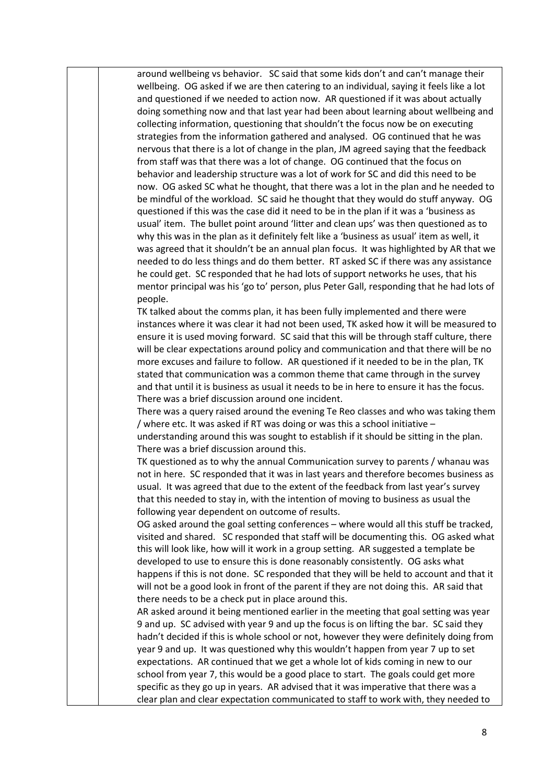around wellbeing vs behavior. SC said that some kids don't and can't manage their wellbeing. OG asked if we are then catering to an individual, saying it feels like a lot and questioned if we needed to action now. AR questioned if it was about actually doing something now and that last year had been about learning about wellbeing and collecting information, questioning that shouldn't the focus now be on executing strategies from the information gathered and analysed. OG continued that he was nervous that there is a lot of change in the plan, JM agreed saying that the feedback from staff was that there was a lot of change. OG continued that the focus on behavior and leadership structure was a lot of work for SC and did this need to be now. OG asked SC what he thought, that there was a lot in the plan and he needed to be mindful of the workload. SC said he thought that they would do stuff anyway. OG questioned if this was the case did it need to be in the plan if it was a 'business as usual' item. The bullet point around 'litter and clean ups' was then questioned as to why this was in the plan as it definitely felt like a 'business as usual' item as well, it was agreed that it shouldn't be an annual plan focus. It was highlighted by AR that we needed to do less things and do them better. RT asked SC if there was any assistance he could get. SC responded that he had lots of support networks he uses, that his mentor principal was his 'go to' person, plus Peter Gall, responding that he had lots of people.

TK talked about the comms plan, it has been fully implemented and there were instances where it was clear it had not been used, TK asked how it will be measured to ensure it is used moving forward. SC said that this will be through staff culture, there will be clear expectations around policy and communication and that there will be no more excuses and failure to follow. AR questioned if it needed to be in the plan, TK stated that communication was a common theme that came through in the survey and that until it is business as usual it needs to be in here to ensure it has the focus. There was a brief discussion around one incident.

There was a query raised around the evening Te Reo classes and who was taking them / where etc. It was asked if RT was doing or was this a school initiative –

understanding around this was sought to establish if it should be sitting in the plan. There was a brief discussion around this.

TK questioned as to why the annual Communication survey to parents / whanau was not in here. SC responded that it was in last years and therefore becomes business as usual. It was agreed that due to the extent of the feedback from last year's survey that this needed to stay in, with the intention of moving to business as usual the following year dependent on outcome of results.

OG asked around the goal setting conferences – where would all this stuff be tracked, visited and shared. SC responded that staff will be documenting this. OG asked what this will look like, how will it work in a group setting. AR suggested a template be developed to use to ensure this is done reasonably consistently. OG asks what happens if this is not done. SC responded that they will be held to account and that it will not be a good look in front of the parent if they are not doing this. AR said that there needs to be a check put in place around this.

AR asked around it being mentioned earlier in the meeting that goal setting was year 9 and up. SC advised with year 9 and up the focus is on lifting the bar. SC said they hadn't decided if this is whole school or not, however they were definitely doing from year 9 and up. It was questioned why this wouldn't happen from year 7 up to set expectations. AR continued that we get a whole lot of kids coming in new to our school from year 7, this would be a good place to start. The goals could get more specific as they go up in years. AR advised that it was imperative that there was a clear plan and clear expectation communicated to staff to work with, they needed to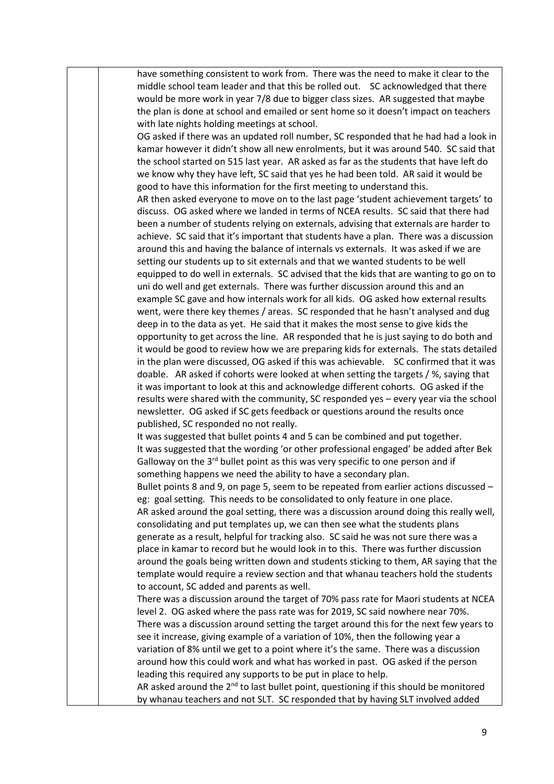have something consistent to work from. There was the need to make it clear to the middle school team leader and that this be rolled out. SC acknowledged that there would be more work in year 7/8 due to bigger class sizes. AR suggested that maybe the plan is done at school and emailed or sent home so it doesn't impact on teachers with late nights holding meetings at school.

OG asked if there was an updated roll number, SC responded that he had had a look in kamar however it didn't show all new enrolments, but it was around 540. SC said that the school started on 515 last year. AR asked as far as the students that have left do we know why they have left, SC said that yes he had been told. AR said it would be good to have this information for the first meeting to understand this.

AR then asked everyone to move on to the last page 'student achievement targets' to discuss. OG asked where we landed in terms of NCEA results. SC said that there had been a number of students relying on externals, advising that externals are harder to achieve. SC said that it's important that students have a plan. There was a discussion around this and having the balance of internals vs externals. It was asked if we are setting our students up to sit externals and that we wanted students to be well equipped to do well in externals. SC advised that the kids that are wanting to go on to uni do well and get externals. There was further discussion around this and an example SC gave and how internals work for all kids. OG asked how external results went, were there key themes / areas. SC responded that he hasn't analysed and dug deep in to the data as yet. He said that it makes the most sense to give kids the opportunity to get across the line. AR responded that he is just saying to do both and it would be good to review how we are preparing kids for externals. The stats detailed in the plan were discussed, OG asked if this was achievable. SC confirmed that it was doable. AR asked if cohorts were looked at when setting the targets / %, saying that it was important to look at this and acknowledge different cohorts. OG asked if the results were shared with the community, SC responded yes – every year via the school newsletter. OG asked if SC gets feedback or questions around the results once published, SC responded no not really.

It was suggested that bullet points 4 and 5 can be combined and put together. It was suggested that the wording 'or other professional engaged' be added after Bek Galloway on the 3<sup>rd</sup> bullet point as this was very specific to one person and if something happens we need the ability to have a secondary plan.

Bullet points 8 and 9, on page 5, seem to be repeated from earlier actions discussed – eg: goal setting. This needs to be consolidated to only feature in one place.

AR asked around the goal setting, there was a discussion around doing this really well, consolidating and put templates up, we can then see what the students plans generate as a result, helpful for tracking also. SC said he was not sure there was a place in kamar to record but he would look in to this. There was further discussion around the goals being written down and students sticking to them, AR saying that the template would require a review section and that whanau teachers hold the students to account, SC added and parents as well.

There was a discussion around the target of 70% pass rate for Maori students at NCEA level 2. OG asked where the pass rate was for 2019, SC said nowhere near 70%. There was a discussion around setting the target around this for the next few years to see it increase, giving example of a variation of 10%, then the following year a variation of 8% until we get to a point where it's the same. There was a discussion around how this could work and what has worked in past. OG asked if the person leading this required any supports to be put in place to help.

AR asked around the  $2<sup>nd</sup>$  to last bullet point, questioning if this should be monitored by whanau teachers and not SLT. SC responded that by having SLT involved added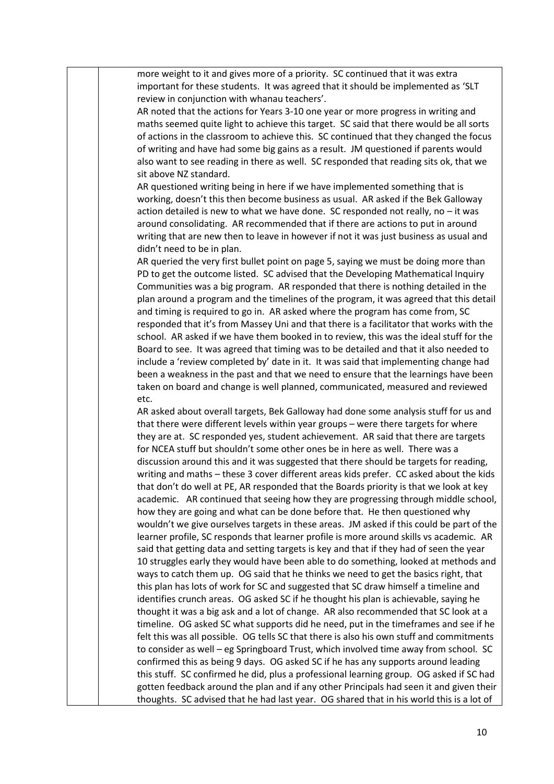more weight to it and gives more of a priority. SC continued that it was extra important for these students. It was agreed that it should be implemented as 'SLT review in conjunction with whanau teachers'.

AR noted that the actions for Years 3-10 one year or more progress in writing and maths seemed quite light to achieve this target. SC said that there would be all sorts of actions in the classroom to achieve this. SC continued that they changed the focus of writing and have had some big gains as a result. JM questioned if parents would also want to see reading in there as well. SC responded that reading sits ok, that we sit above NZ standard.

AR questioned writing being in here if we have implemented something that is working, doesn't this then become business as usual. AR asked if the Bek Galloway action detailed is new to what we have done. SC responded not really, no  $-$  it was around consolidating. AR recommended that if there are actions to put in around writing that are new then to leave in however if not it was just business as usual and didn't need to be in plan.

AR queried the very first bullet point on page 5, saying we must be doing more than PD to get the outcome listed. SC advised that the Developing Mathematical Inquiry Communities was a big program. AR responded that there is nothing detailed in the plan around a program and the timelines of the program, it was agreed that this detail and timing is required to go in. AR asked where the program has come from, SC responded that it's from Massey Uni and that there is a facilitator that works with the school. AR asked if we have them booked in to review, this was the ideal stuff for the Board to see. It was agreed that timing was to be detailed and that it also needed to include a 'review completed by' date in it. It was said that implementing change had been a weakness in the past and that we need to ensure that the learnings have been taken on board and change is well planned, communicated, measured and reviewed etc.

AR asked about overall targets, Bek Galloway had done some analysis stuff for us and that there were different levels within year groups – were there targets for where they are at. SC responded yes, student achievement. AR said that there are targets for NCEA stuff but shouldn't some other ones be in here as well. There was a discussion around this and it was suggested that there should be targets for reading, writing and maths – these 3 cover different areas kids prefer. CC asked about the kids that don't do well at PE, AR responded that the Boards priority is that we look at key academic. AR continued that seeing how they are progressing through middle school, how they are going and what can be done before that. He then questioned why wouldn't we give ourselves targets in these areas. JM asked if this could be part of the learner profile, SC responds that learner profile is more around skills vs academic. AR said that getting data and setting targets is key and that if they had of seen the year 10 struggles early they would have been able to do something, looked at methods and ways to catch them up. OG said that he thinks we need to get the basics right, that this plan has lots of work for SC and suggested that SC draw himself a timeline and identifies crunch areas. OG asked SC if he thought his plan is achievable, saying he thought it was a big ask and a lot of change. AR also recommended that SC look at a timeline. OG asked SC what supports did he need, put in the timeframes and see if he felt this was all possible. OG tells SC that there is also his own stuff and commitments to consider as well – eg Springboard Trust, which involved time away from school. SC confirmed this as being 9 days. OG asked SC if he has any supports around leading this stuff. SC confirmed he did, plus a professional learning group. OG asked if SC had gotten feedback around the plan and if any other Principals had seen it and given their thoughts. SC advised that he had last year. OG shared that in his world this is a lot of